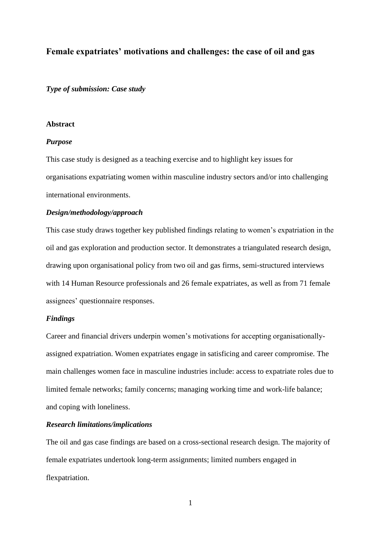# **Female expatriates' motivations and challenges: the case of oil and gas**

*Type of submission: Case study*

### **Abstract**

#### *Purpose*

This case study is designed as a teaching exercise and to highlight key issues for organisations expatriating women within masculine industry sectors and/or into challenging international environments.

### *Design/methodology/approach*

This case study draws together key published findings relating to women's expatriation in the oil and gas exploration and production sector. It demonstrates a triangulated research design, drawing upon organisational policy from two oil and gas firms, semi-structured interviews with 14 Human Resource professionals and 26 female expatriates, as well as from 71 female assignees' questionnaire responses.

# *Findings*

Career and financial drivers underpin women's motivations for accepting organisationallyassigned expatriation. Women expatriates engage in satisficing and career compromise. The main challenges women face in masculine industries include: access to expatriate roles due to limited female networks; family concerns; managing working time and work-life balance; and coping with loneliness.

# *Research limitations/implications*

The oil and gas case findings are based on a cross-sectional research design. The majority of female expatriates undertook long-term assignments; limited numbers engaged in flexpatriation.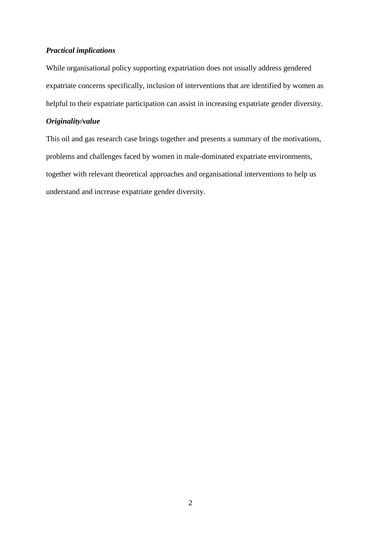## *Practical implications*

While organisational policy supporting expatriation does not usually address gendered expatriate concerns specifically, inclusion of interventions that are identified by women as helpful to their expatriate participation can assist in increasing expatriate gender diversity.

## *Originality/value*

This oil and gas research case brings together and presents a summary of the motivations, problems and challenges faced by women in male-dominated expatriate environments, together with relevant theoretical approaches and organisational interventions to help us understand and increase expatriate gender diversity.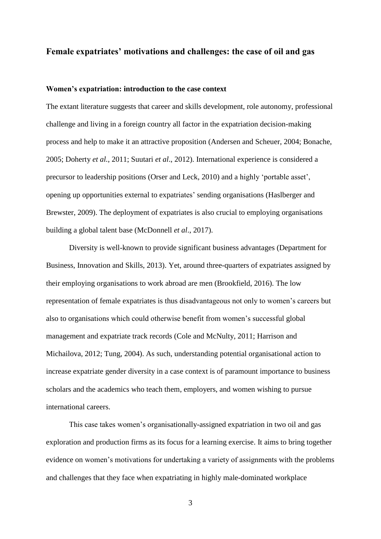# **Female expatriates' motivations and challenges: the case of oil and gas**

## **Women's expatriation: introduction to the case context**

The extant literature suggests that career and skills development, role autonomy, professional challenge and living in a foreign country all factor in the expatriation decision-making process and help to make it an attractive proposition (Andersen and Scheuer, 2004; Bonache, 2005; Doherty *et al.*, 2011; Suutari *et al*., 2012). International experience is considered a precursor to leadership positions (Orser and Leck, 2010) and a highly 'portable asset', opening up opportunities external to expatriates' sending organisations (Haslberger and Brewster, 2009). The deployment of expatriates is also crucial to employing organisations building a global talent base (McDonnell *et al*., 2017).

Diversity is well-known to provide significant business advantages (Department for Business, Innovation and Skills, 2013). Yet, around three-quarters of expatriates assigned by their employing organisations to work abroad are men (Brookfield, 2016). The low representation of female expatriates is thus disadvantageous not only to women's careers but also to organisations which could otherwise benefit from women's successful global management and expatriate track records (Cole and McNulty, 2011; Harrison and Michailova, 2012; Tung, 2004). As such, understanding potential organisational action to increase expatriate gender diversity in a case context is of paramount importance to business scholars and the academics who teach them, employers, and women wishing to pursue international careers.

This case takes women's organisationally-assigned expatriation in two oil and gas exploration and production firms as its focus for a learning exercise. It aims to bring together evidence on women's motivations for undertaking a variety of assignments with the problems and challenges that they face when expatriating in highly male-dominated workplace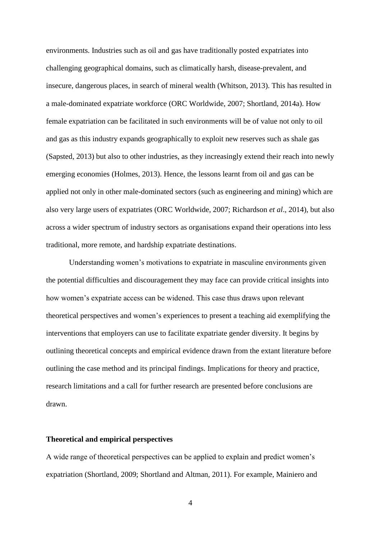environments. Industries such as oil and gas have traditionally posted expatriates into challenging geographical domains, such as climatically harsh, disease-prevalent, and insecure, dangerous places, in search of mineral wealth (Whitson, 2013). This has resulted in a male-dominated expatriate workforce (ORC Worldwide, 2007; Shortland, 2014a). How female expatriation can be facilitated in such environments will be of value not only to oil and gas as this industry expands geographically to exploit new reserves such as shale gas (Sapsted, 2013) but also to other industries, as they increasingly extend their reach into newly emerging economies (Holmes, 2013). Hence, the lessons learnt from oil and gas can be applied not only in other male-dominated sectors (such as engineering and mining) which are also very large users of expatriates (ORC Worldwide, 2007; Richardson *et al*., 2014), but also across a wider spectrum of industry sectors as organisations expand their operations into less traditional, more remote, and hardship expatriate destinations.

Understanding women's motivations to expatriate in masculine environments given the potential difficulties and discouragement they may face can provide critical insights into how women's expatriate access can be widened. This case thus draws upon relevant theoretical perspectives and women's experiences to present a teaching aid exemplifying the interventions that employers can use to facilitate expatriate gender diversity. It begins by outlining theoretical concepts and empirical evidence drawn from the extant literature before outlining the case method and its principal findings. Implications for theory and practice, research limitations and a call for further research are presented before conclusions are drawn.

## **Theoretical and empirical perspectives**

A wide range of theoretical perspectives can be applied to explain and predict women's expatriation (Shortland, 2009; Shortland and Altman, 2011). For example, Mainiero and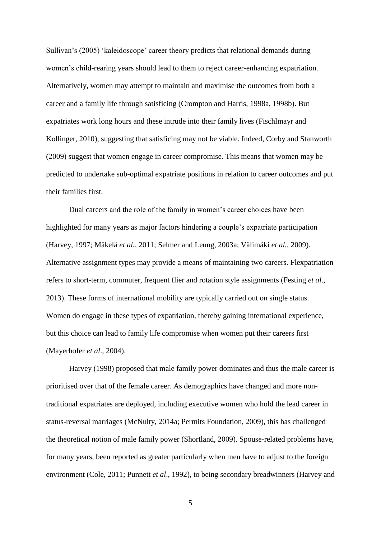Sullivan's (2005) 'kaleidoscope' career theory predicts that relational demands during women's child-rearing years should lead to them to reject career-enhancing expatriation. Alternatively, women may attempt to maintain and maximise the outcomes from both a career and a family life through satisficing (Crompton and Harris, 1998a, 1998b). But expatriates work long hours and these intrude into their family lives (Fischlmayr and Kollinger, 2010), suggesting that satisficing may not be viable. Indeed, Corby and Stanworth (2009) suggest that women engage in career compromise. This means that women may be predicted to undertake sub-optimal expatriate positions in relation to career outcomes and put their families first.

Dual careers and the role of the family in women's career choices have been highlighted for many years as major factors hindering a couple's expatriate participation (Harvey, 1997; Mäkelä *et al.*, 2011; Selmer and Leung, 2003a; Välimäki *et al.*, 2009). Alternative assignment types may provide a means of maintaining two careers. Flexpatriation refers to short-term, commuter, frequent flier and rotation style assignments (Festing *et al*., 2013). These forms of international mobility are typically carried out on single status. Women do engage in these types of expatriation, thereby gaining international experience, but this choice can lead to family life compromise when women put their careers first (Mayerhofer *et al*., 2004).

Harvey (1998) proposed that male family power dominates and thus the male career is prioritised over that of the female career. As demographics have changed and more nontraditional expatriates are deployed, including executive women who hold the lead career in status-reversal marriages (McNulty, 2014a; Permits Foundation, 2009), this has challenged the theoretical notion of male family power (Shortland, 2009). Spouse-related problems have, for many years, been reported as greater particularly when men have to adjust to the foreign environment (Cole, 2011; Punnett *et al*., 1992), to being secondary breadwinners (Harvey and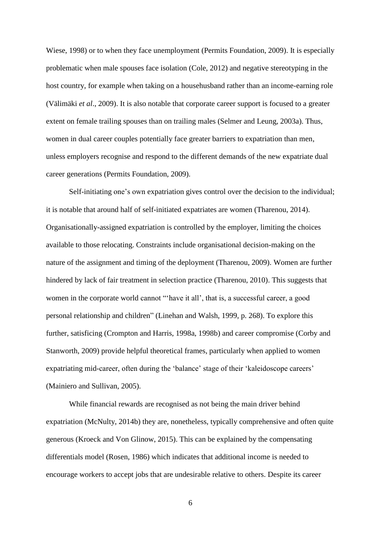Wiese, 1998) or to when they face unemployment (Permits Foundation, 2009). It is especially problematic when male spouses face isolation (Cole, 2012) and negative stereotyping in the host country, for example when taking on a househusband rather than an income-earning role (Välimäki *et al*., 2009). It is also notable that corporate career support is focused to a greater extent on female trailing spouses than on trailing males (Selmer and Leung, 2003a). Thus, women in dual career couples potentially face greater barriers to expatriation than men, unless employers recognise and respond to the different demands of the new expatriate dual career generations (Permits Foundation, 2009).

Self-initiating one's own expatriation gives control over the decision to the individual; it is notable that around half of self-initiated expatriates are women (Tharenou, 2014). Organisationally-assigned expatriation is controlled by the employer, limiting the choices available to those relocating. Constraints include organisational decision-making on the nature of the assignment and timing of the deployment (Tharenou, 2009). Women are further hindered by lack of fair treatment in selection practice (Tharenou, 2010). This suggests that women in the corporate world cannot "'have it all', that is, a successful career, a good personal relationship and children" (Linehan and Walsh, 1999, p. 268). To explore this further, satisficing (Crompton and Harris, 1998a, 1998b) and career compromise (Corby and Stanworth, 2009) provide helpful theoretical frames, particularly when applied to women expatriating mid-career, often during the 'balance' stage of their 'kaleidoscope careers' (Mainiero and Sullivan, 2005).

While financial rewards are recognised as not being the main driver behind expatriation (McNulty, 2014b) they are, nonetheless, typically comprehensive and often quite generous (Kroeck and Von Glinow, 2015). This can be explained by the compensating differentials model (Rosen, 1986) which indicates that additional income is needed to encourage workers to accept jobs that are undesirable relative to others. Despite its career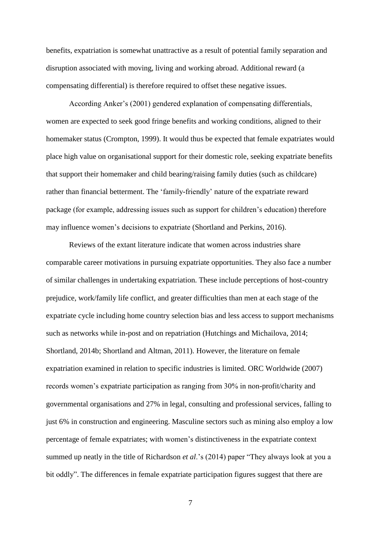benefits, expatriation is somewhat unattractive as a result of potential family separation and disruption associated with moving, living and working abroad. Additional reward (a compensating differential) is therefore required to offset these negative issues.

According Anker's (2001) gendered explanation of compensating differentials, women are expected to seek good fringe benefits and working conditions, aligned to their homemaker status (Crompton, 1999). It would thus be expected that female expatriates would place high value on organisational support for their domestic role, seeking expatriate benefits that support their homemaker and child bearing/raising family duties (such as childcare) rather than financial betterment. The 'family-friendly' nature of the expatriate reward package (for example, addressing issues such as support for children's education) therefore may influence women's decisions to expatriate (Shortland and Perkins, 2016).

Reviews of the extant literature indicate that women across industries share comparable career motivations in pursuing expatriate opportunities. They also face a number of similar challenges in undertaking expatriation. These include perceptions of host-country prejudice, work/family life conflict, and greater difficulties than men at each stage of the expatriate cycle including home country selection bias and less access to support mechanisms such as networks while in-post and on repatriation (Hutchings and Michailova, 2014; Shortland, 2014b; Shortland and Altman, 2011). However, the literature on female expatriation examined in relation to specific industries is limited. ORC Worldwide (2007) records women's expatriate participation as ranging from 30% in non-profit/charity and governmental organisations and 27% in legal, consulting and professional services, falling to just 6% in construction and engineering. Masculine sectors such as mining also employ a low percentage of female expatriates; with women's distinctiveness in the expatriate context summed up neatly in the title of Richardson *et al*.'s (2014) paper "They always look at you a bit oddly". The differences in female expatriate participation figures suggest that there are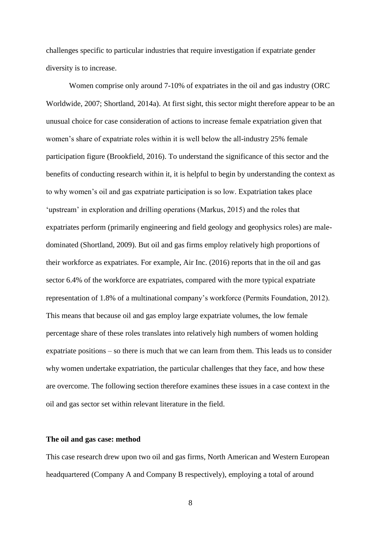challenges specific to particular industries that require investigation if expatriate gender diversity is to increase.

Women comprise only around 7-10% of expatriates in the oil and gas industry (ORC Worldwide, 2007; Shortland, 2014a). At first sight, this sector might therefore appear to be an unusual choice for case consideration of actions to increase female expatriation given that women's share of expatriate roles within it is well below the all-industry 25% female participation figure (Brookfield, 2016). To understand the significance of this sector and the benefits of conducting research within it, it is helpful to begin by understanding the context as to why women's oil and gas expatriate participation is so low. Expatriation takes place 'upstream' in exploration and drilling operations (Markus, 2015) and the roles that expatriates perform (primarily engineering and field geology and geophysics roles) are maledominated (Shortland, 2009). But oil and gas firms employ relatively high proportions of their workforce as expatriates. For example, Air Inc. (2016) reports that in the oil and gas sector 6.4% of the workforce are expatriates, compared with the more typical expatriate representation of 1.8% of a multinational company's workforce (Permits Foundation, 2012). This means that because oil and gas employ large expatriate volumes, the low female percentage share of these roles translates into relatively high numbers of women holding expatriate positions – so there is much that we can learn from them. This leads us to consider why women undertake expatriation, the particular challenges that they face, and how these are overcome. The following section therefore examines these issues in a case context in the oil and gas sector set within relevant literature in the field.

## **The oil and gas case: method**

This case research drew upon two oil and gas firms, North American and Western European headquartered (Company A and Company B respectively), employing a total of around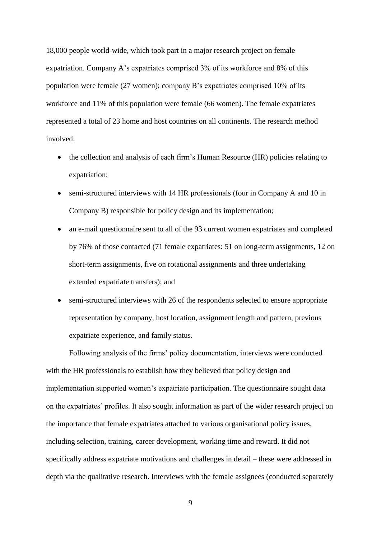18,000 people world-wide, which took part in a major research project on female expatriation. Company A's expatriates comprised 3% of its workforce and 8% of this population were female (27 women); company B's expatriates comprised 10% of its workforce and 11% of this population were female (66 women). The female expatriates represented a total of 23 home and host countries on all continents. The research method involved:

- the collection and analysis of each firm's Human Resource (HR) policies relating to expatriation;
- semi-structured interviews with 14 HR professionals (four in Company A and 10 in Company B) responsible for policy design and its implementation;
- an e-mail questionnaire sent to all of the 93 current women expatriates and completed by 76% of those contacted (71 female expatriates: 51 on long-term assignments, 12 on short-term assignments, five on rotational assignments and three undertaking extended expatriate transfers); and
- semi-structured interviews with 26 of the respondents selected to ensure appropriate representation by company, host location, assignment length and pattern, previous expatriate experience, and family status.

Following analysis of the firms' policy documentation, interviews were conducted with the HR professionals to establish how they believed that policy design and implementation supported women's expatriate participation. The questionnaire sought data on the expatriates' profiles. It also sought information as part of the wider research project on the importance that female expatriates attached to various organisational policy issues, including selection, training, career development, working time and reward. It did not specifically address expatriate motivations and challenges in detail – these were addressed in depth via the qualitative research. Interviews with the female assignees (conducted separately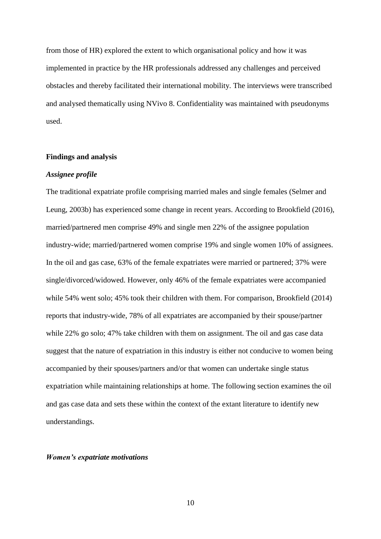from those of HR) explored the extent to which organisational policy and how it was implemented in practice by the HR professionals addressed any challenges and perceived obstacles and thereby facilitated their international mobility. The interviews were transcribed and analysed thematically using NVivo 8. Confidentiality was maintained with pseudonyms used.

### **Findings and analysis**

#### *Assignee profile*

The traditional expatriate profile comprising married males and single females (Selmer and Leung, 2003b) has experienced some change in recent years. According to Brookfield (2016), married/partnered men comprise 49% and single men 22% of the assignee population industry-wide; married/partnered women comprise 19% and single women 10% of assignees. In the oil and gas case, 63% of the female expatriates were married or partnered; 37% were single/divorced/widowed. However, only 46% of the female expatriates were accompanied while 54% went solo; 45% took their children with them. For comparison, Brookfield (2014) reports that industry-wide, 78% of all expatriates are accompanied by their spouse/partner while 22% go solo; 47% take children with them on assignment. The oil and gas case data suggest that the nature of expatriation in this industry is either not conducive to women being accompanied by their spouses/partners and/or that women can undertake single status expatriation while maintaining relationships at home. The following section examines the oil and gas case data and sets these within the context of the extant literature to identify new understandings.

#### *Women's expatriate motivations*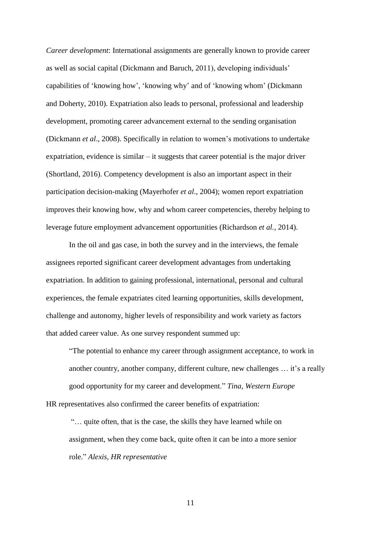*Career development*: International assignments are generally known to provide career as well as social capital (Dickmann and Baruch, 2011), developing individuals' capabilities of 'knowing how', 'knowing why' and of 'knowing whom' (Dickmann and Doherty, 2010). Expatriation also leads to personal, professional and leadership development, promoting career advancement external to the sending organisation (Dickmann *et al*., 2008). Specifically in relation to women's motivations to undertake expatriation, evidence is similar – it suggests that career potential is the major driver (Shortland, 2016). Competency development is also an important aspect in their participation decision-making (Mayerhofer *et al*., 2004); women report expatriation improves their knowing how, why and whom career competencies, thereby helping to leverage future employment advancement opportunities (Richardson *et al.*, 2014).

In the oil and gas case, in both the survey and in the interviews, the female assignees reported significant career development advantages from undertaking expatriation. In addition to gaining professional, international, personal and cultural experiences, the female expatriates cited learning opportunities, skills development, challenge and autonomy, higher levels of responsibility and work variety as factors that added career value. As one survey respondent summed up:

"The potential to enhance my career through assignment acceptance, to work in another country, another company, different culture, new challenges … it's a really good opportunity for my career and development." *Tina, Western Europe* HR representatives also confirmed the career benefits of expatriation:

"… quite often, that is the case, the skills they have learned while on assignment, when they come back, quite often it can be into a more senior role." *Alexis, HR representative*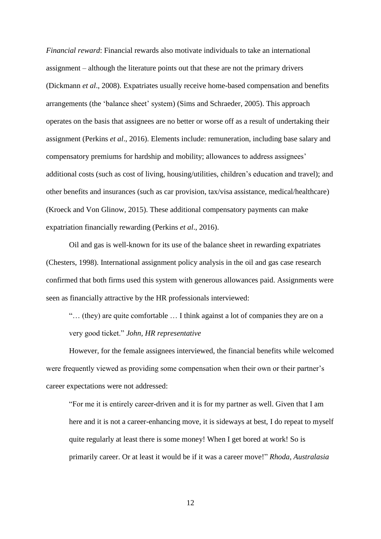*Financial reward*: Financial rewards also motivate individuals to take an international assignment – although the literature points out that these are not the primary drivers (Dickmann *et al*., 2008). Expatriates usually receive home-based compensation and benefits arrangements (the 'balance sheet' system) (Sims and Schraeder, 2005). This approach operates on the basis that assignees are no better or worse off as a result of undertaking their assignment (Perkins *et al*., 2016). Elements include: remuneration, including base salary and compensatory premiums for hardship and mobility; allowances to address assignees' additional costs (such as cost of living, housing/utilities, children's education and travel); and other benefits and insurances (such as car provision, tax/visa assistance, medical/healthcare) (Kroeck and Von Glinow, 2015). These additional compensatory payments can make expatriation financially rewarding (Perkins *et al*., 2016).

Oil and gas is well-known for its use of the balance sheet in rewarding expatriates (Chesters, 1998). International assignment policy analysis in the oil and gas case research confirmed that both firms used this system with generous allowances paid. Assignments were seen as financially attractive by the HR professionals interviewed:

"… (they) are quite comfortable … I think against a lot of companies they are on a very good ticket." *John, HR representative*

However, for the female assignees interviewed, the financial benefits while welcomed were frequently viewed as providing some compensation when their own or their partner's career expectations were not addressed:

"For me it is entirely career-driven and it is for my partner as well. Given that I am here and it is not a career-enhancing move, it is sideways at best, I do repeat to myself quite regularly at least there is some money! When I get bored at work! So is primarily career. Or at least it would be if it was a career move!" *Rhoda, Australasia*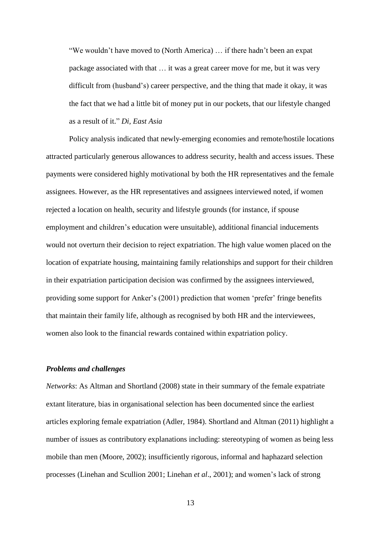"We wouldn't have moved to (North America) … if there hadn't been an expat package associated with that … it was a great career move for me, but it was very difficult from (husband's) career perspective, and the thing that made it okay, it was the fact that we had a little bit of money put in our pockets, that our lifestyle changed as a result of it." *Di, East Asia*

Policy analysis indicated that newly-emerging economies and remote/hostile locations attracted particularly generous allowances to address security, health and access issues. These payments were considered highly motivational by both the HR representatives and the female assignees. However, as the HR representatives and assignees interviewed noted, if women rejected a location on health, security and lifestyle grounds (for instance, if spouse employment and children's education were unsuitable), additional financial inducements would not overturn their decision to reject expatriation. The high value women placed on the location of expatriate housing, maintaining family relationships and support for their children in their expatriation participation decision was confirmed by the assignees interviewed, providing some support for Anker's (2001) prediction that women 'prefer' fringe benefits that maintain their family life, although as recognised by both HR and the interviewees, women also look to the financial rewards contained within expatriation policy.

#### *Problems and challenges*

*Networks*: As Altman and Shortland (2008) state in their summary of the female expatriate extant literature, bias in organisational selection has been documented since the earliest articles exploring female expatriation (Adler, 1984). Shortland and Altman (2011) highlight a number of issues as contributory explanations including: stereotyping of women as being less mobile than men (Moore, 2002); insufficiently rigorous, informal and haphazard selection processes (Linehan and Scullion 2001; Linehan *et al*., 2001); and women's lack of strong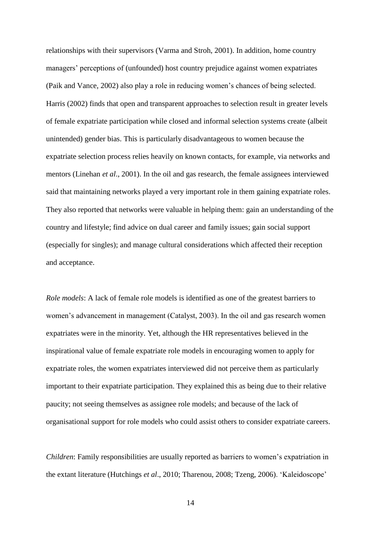relationships with their supervisors (Varma and Stroh, 2001). In addition, home country managers' perceptions of (unfounded) host country prejudice against women expatriates (Paik and Vance, 2002) also play a role in reducing women's chances of being selected. Harris (2002) finds that open and transparent approaches to selection result in greater levels of female expatriate participation while closed and informal selection systems create (albeit unintended) gender bias. This is particularly disadvantageous to women because the expatriate selection process relies heavily on known contacts, for example, via networks and mentors (Linehan *et al*., 2001). In the oil and gas research, the female assignees interviewed said that maintaining networks played a very important role in them gaining expatriate roles. They also reported that networks were valuable in helping them: gain an understanding of the country and lifestyle; find advice on dual career and family issues; gain social support (especially for singles); and manage cultural considerations which affected their reception and acceptance.

*Role models*: A lack of female role models is identified as one of the greatest barriers to women's advancement in management (Catalyst, 2003). In the oil and gas research women expatriates were in the minority. Yet, although the HR representatives believed in the inspirational value of female expatriate role models in encouraging women to apply for expatriate roles, the women expatriates interviewed did not perceive them as particularly important to their expatriate participation. They explained this as being due to their relative paucity; not seeing themselves as assignee role models; and because of the lack of organisational support for role models who could assist others to consider expatriate careers.

*Children*: Family responsibilities are usually reported as barriers to women's expatriation in the extant literature (Hutchings *et al*., 2010; Tharenou, 2008; Tzeng, 2006). 'Kaleidoscope'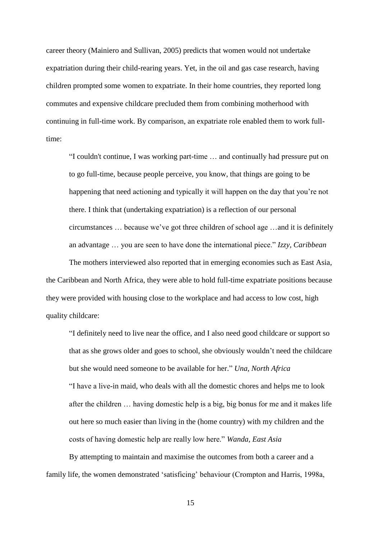career theory (Mainiero and Sullivan, 2005) predicts that women would not undertake expatriation during their child-rearing years. Yet, in the oil and gas case research, having children prompted some women to expatriate. In their home countries, they reported long commutes and expensive childcare precluded them from combining motherhood with continuing in full-time work. By comparison, an expatriate role enabled them to work fulltime:

"I couldn't continue, I was working part-time … and continually had pressure put on to go full-time, because people perceive, you know, that things are going to be happening that need actioning and typically it will happen on the day that you're not there. I think that (undertaking expatriation) is a reflection of our personal circumstances … because we've got three children of school age …and it is definitely an advantage … you are seen to have done the international piece." *Izzy, Caribbean*

The mothers interviewed also reported that in emerging economies such as East Asia, the Caribbean and North Africa, they were able to hold full-time expatriate positions because they were provided with housing close to the workplace and had access to low cost, high quality childcare:

"I definitely need to live near the office, and I also need good childcare or support so that as she grows older and goes to school, she obviously wouldn't need the childcare but she would need someone to be available for her." *Una, North Africa* "I have a live-in maid, who deals with all the domestic chores and helps me to look after the children … having domestic help is a big, big bonus for me and it makes life out here so much easier than living in the (home country) with my children and the costs of having domestic help are really low here." *Wanda, East Asia*

By attempting to maintain and maximise the outcomes from both a career and a family life, the women demonstrated 'satisficing' behaviour (Crompton and Harris, 1998a,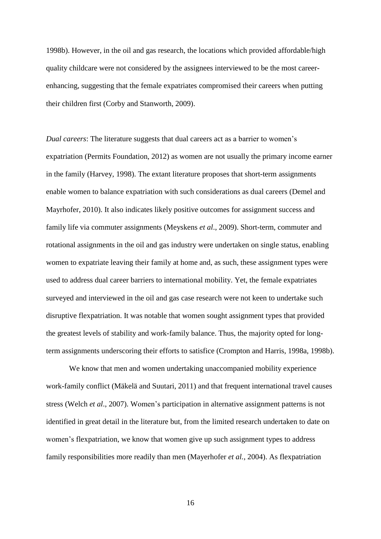1998b). However, in the oil and gas research, the locations which provided affordable/high quality childcare were not considered by the assignees interviewed to be the most careerenhancing, suggesting that the female expatriates compromised their careers when putting their children first (Corby and Stanworth, 2009).

*Dual careers*: The literature suggests that dual careers act as a barrier to women's expatriation (Permits Foundation, 2012) as women are not usually the primary income earner in the family (Harvey, 1998). The extant literature proposes that short-term assignments enable women to balance expatriation with such considerations as dual careers (Demel and Mayrhofer, 2010). It also indicates likely positive outcomes for assignment success and family life via commuter assignments (Meyskens *et al*., 2009). Short-term, commuter and rotational assignments in the oil and gas industry were undertaken on single status, enabling women to expatriate leaving their family at home and, as such, these assignment types were used to address dual career barriers to international mobility. Yet, the female expatriates surveyed and interviewed in the oil and gas case research were not keen to undertake such disruptive flexpatriation. It was notable that women sought assignment types that provided the greatest levels of stability and work-family balance. Thus, the majority opted for longterm assignments underscoring their efforts to satisfice (Crompton and Harris, 1998a, 1998b).

We know that men and women undertaking unaccompanied mobility experience work-family conflict (Mäkelä and Suutari, 2011) and that frequent international travel causes stress (Welch *et al*., 2007). Women's participation in alternative assignment patterns is not identified in great detail in the literature but, from the limited research undertaken to date on women's flexpatriation, we know that women give up such assignment types to address family responsibilities more readily than men (Mayerhofer *et al.*, 2004). As flexpatriation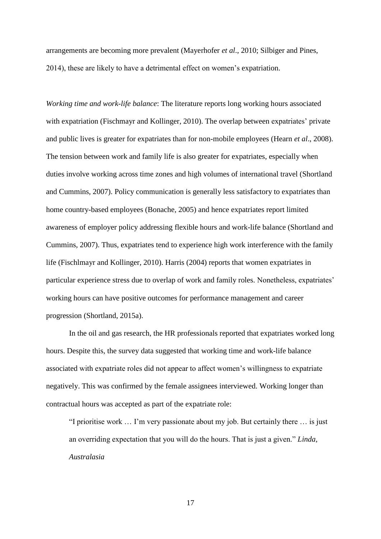arrangements are becoming more prevalent (Mayerhofer *et al*., 2010; Silbiger and Pines, 2014), these are likely to have a detrimental effect on women's expatriation.

*Working time and work-life balance*: The literature reports long working hours associated with expatriation (Fischmayr and Kollinger, 2010). The overlap between expatriates' private and public lives is greater for expatriates than for non-mobile employees (Hearn *et al*., 2008). The tension between work and family life is also greater for expatriates, especially when duties involve working across time zones and high volumes of international travel (Shortland and Cummins, 2007). Policy communication is generally less satisfactory to expatriates than home country-based employees (Bonache, 2005) and hence expatriates report limited awareness of employer policy addressing flexible hours and work-life balance (Shortland and Cummins, 2007). Thus, expatriates tend to experience high work interference with the family life (Fischlmayr and Kollinger, 2010). Harris (2004) reports that women expatriates in particular experience stress due to overlap of work and family roles. Nonetheless, expatriates' working hours can have positive outcomes for performance management and career progression (Shortland, 2015a).

In the oil and gas research, the HR professionals reported that expatriates worked long hours. Despite this, the survey data suggested that working time and work-life balance associated with expatriate roles did not appear to affect women's willingness to expatriate negatively. This was confirmed by the female assignees interviewed. Working longer than contractual hours was accepted as part of the expatriate role:

"I prioritise work … I'm very passionate about my job. But certainly there … is just an overriding expectation that you will do the hours. That is just a given." *Linda, Australasia*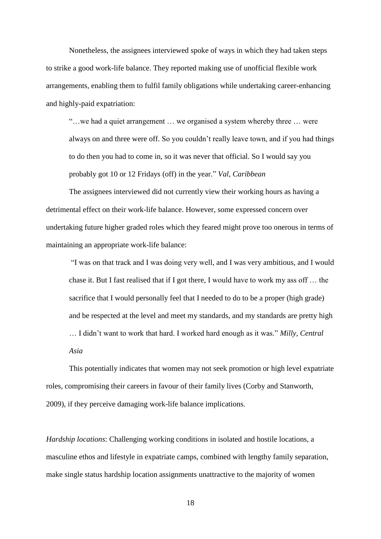Nonetheless, the assignees interviewed spoke of ways in which they had taken steps to strike a good work-life balance. They reported making use of unofficial flexible work arrangements, enabling them to fulfil family obligations while undertaking career-enhancing and highly-paid expatriation:

"…we had a quiet arrangement … we organised a system whereby three … were always on and three were off. So you couldn't really leave town, and if you had things to do then you had to come in, so it was never that official. So I would say you probably got 10 or 12 Fridays (off) in the year." *Val, Caribbean*

The assignees interviewed did not currently view their working hours as having a detrimental effect on their work-life balance. However, some expressed concern over undertaking future higher graded roles which they feared might prove too onerous in terms of maintaining an appropriate work-life balance:

"I was on that track and I was doing very well, and I was very ambitious, and I would chase it. But I fast realised that if I got there, I would have to work my ass off … the sacrifice that I would personally feel that I needed to do to be a proper (high grade) and be respected at the level and meet my standards, and my standards are pretty high … I didn't want to work that hard. I worked hard enough as it was." *Milly, Central Asia*

This potentially indicates that women may not seek promotion or high level expatriate roles, compromising their careers in favour of their family lives (Corby and Stanworth, 2009), if they perceive damaging work-life balance implications.

*Hardship locations*: Challenging working conditions in isolated and hostile locations, a masculine ethos and lifestyle in expatriate camps, combined with lengthy family separation, make single status hardship location assignments unattractive to the majority of women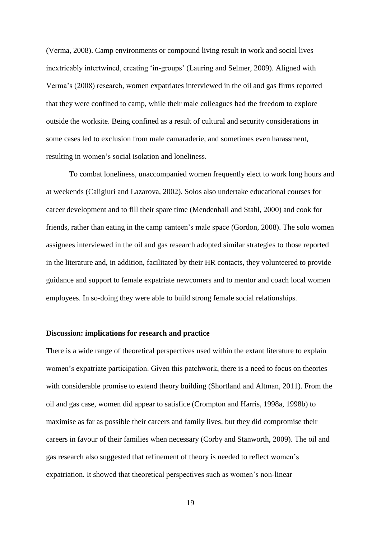(Verma, 2008). Camp environments or compound living result in work and social lives inextricably intertwined, creating 'in-groups' (Lauring and Selmer, 2009). Aligned with Verma's (2008) research, women expatriates interviewed in the oil and gas firms reported that they were confined to camp, while their male colleagues had the freedom to explore outside the worksite. Being confined as a result of cultural and security considerations in some cases led to exclusion from male camaraderie, and sometimes even harassment, resulting in women's social isolation and loneliness.

To combat loneliness, unaccompanied women frequently elect to work long hours and at weekends (Caligiuri and Lazarova, 2002). Solos also undertake educational courses for career development and to fill their spare time (Mendenhall and Stahl, 2000) and cook for friends, rather than eating in the camp canteen's male space (Gordon, 2008). The solo women assignees interviewed in the oil and gas research adopted similar strategies to those reported in the literature and, in addition, facilitated by their HR contacts, they volunteered to provide guidance and support to female expatriate newcomers and to mentor and coach local women employees. In so-doing they were able to build strong female social relationships.

## **Discussion: implications for research and practice**

There is a wide range of theoretical perspectives used within the extant literature to explain women's expatriate participation. Given this patchwork, there is a need to focus on theories with considerable promise to extend theory building (Shortland and Altman, 2011). From the oil and gas case, women did appear to satisfice (Crompton and Harris, 1998a, 1998b) to maximise as far as possible their careers and family lives, but they did compromise their careers in favour of their families when necessary (Corby and Stanworth, 2009). The oil and gas research also suggested that refinement of theory is needed to reflect women's expatriation. It showed that theoretical perspectives such as women's non-linear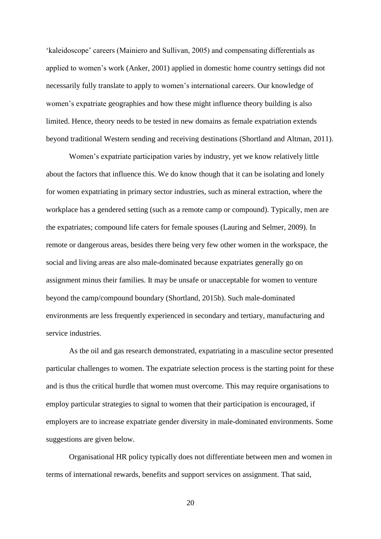'kaleidoscope' careers (Mainiero and Sullivan, 2005) and compensating differentials as applied to women's work (Anker, 2001) applied in domestic home country settings did not necessarily fully translate to apply to women's international careers. Our knowledge of women's expatriate geographies and how these might influence theory building is also limited. Hence, theory needs to be tested in new domains as female expatriation extends beyond traditional Western sending and receiving destinations (Shortland and Altman, 2011).

Women's expatriate participation varies by industry, yet we know relatively little about the factors that influence this. We do know though that it can be isolating and lonely for women expatriating in primary sector industries, such as mineral extraction, where the workplace has a gendered setting (such as a remote camp or compound). Typically, men are the expatriates; compound life caters for female spouses (Lauring and Selmer, 2009). In remote or dangerous areas, besides there being very few other women in the workspace, the social and living areas are also male-dominated because expatriates generally go on assignment minus their families. It may be unsafe or unacceptable for women to venture beyond the camp/compound boundary (Shortland, 2015b). Such male-dominated environments are less frequently experienced in secondary and tertiary, manufacturing and service industries.

As the oil and gas research demonstrated, expatriating in a masculine sector presented particular challenges to women. The expatriate selection process is the starting point for these and is thus the critical hurdle that women must overcome. This may require organisations to employ particular strategies to signal to women that their participation is encouraged, if employers are to increase expatriate gender diversity in male-dominated environments. Some suggestions are given below.

Organisational HR policy typically does not differentiate between men and women in terms of international rewards, benefits and support services on assignment. That said,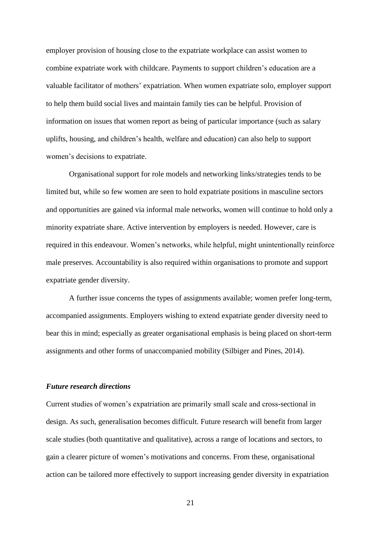employer provision of housing close to the expatriate workplace can assist women to combine expatriate work with childcare. Payments to support children's education are a valuable facilitator of mothers' expatriation. When women expatriate solo, employer support to help them build social lives and maintain family ties can be helpful. Provision of information on issues that women report as being of particular importance (such as salary uplifts, housing, and children's health, welfare and education) can also help to support women's decisions to expatriate.

Organisational support for role models and networking links/strategies tends to be limited but, while so few women are seen to hold expatriate positions in masculine sectors and opportunities are gained via informal male networks, women will continue to hold only a minority expatriate share. Active intervention by employers is needed. However, care is required in this endeavour. Women's networks, while helpful, might unintentionally reinforce male preserves. Accountability is also required within organisations to promote and support expatriate gender diversity.

A further issue concerns the types of assignments available; women prefer long-term, accompanied assignments. Employers wishing to extend expatriate gender diversity need to bear this in mind; especially as greater organisational emphasis is being placed on short-term assignments and other forms of unaccompanied mobility (Silbiger and Pines, 2014).

### *Future research directions*

Current studies of women's expatriation are primarily small scale and cross-sectional in design. As such, generalisation becomes difficult. Future research will benefit from larger scale studies (both quantitative and qualitative), across a range of locations and sectors, to gain a clearer picture of women's motivations and concerns. From these, organisational action can be tailored more effectively to support increasing gender diversity in expatriation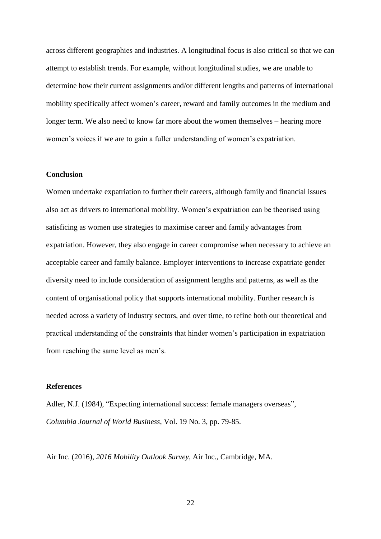across different geographies and industries. A longitudinal focus is also critical so that we can attempt to establish trends. For example, without longitudinal studies, we are unable to determine how their current assignments and/or different lengths and patterns of international mobility specifically affect women's career, reward and family outcomes in the medium and longer term. We also need to know far more about the women themselves – hearing more women's voices if we are to gain a fuller understanding of women's expatriation.

## **Conclusion**

Women undertake expatriation to further their careers, although family and financial issues also act as drivers to international mobility. Women's expatriation can be theorised using satisficing as women use strategies to maximise career and family advantages from expatriation. However, they also engage in career compromise when necessary to achieve an acceptable career and family balance. Employer interventions to increase expatriate gender diversity need to include consideration of assignment lengths and patterns, as well as the content of organisational policy that supports international mobility. Further research is needed across a variety of industry sectors, and over time, to refine both our theoretical and practical understanding of the constraints that hinder women's participation in expatriation from reaching the same level as men's.

#### **References**

Adler, N.J. (1984), "Expecting international success: female managers overseas", *Columbia Journal of World Business*, Vol. 19 No. 3, pp. 79-85.

Air Inc. (2016), *2016 Mobility Outlook Survey*, Air Inc., Cambridge, MA.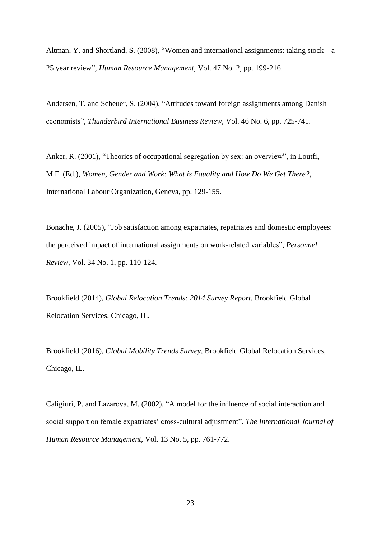Altman, Y. and Shortland, S. (2008), "Women and international assignments: taking stock – a 25 year review", *Human Resource Management*, Vol. 47 No. 2, pp. 199-216.

Andersen, T. and Scheuer, S. (2004), "Attitudes toward foreign assignments among Danish economists", *Thunderbird International Business Review*, Vol. 46 No. 6, pp. 725-741.

Anker, R. (2001), "Theories of occupational segregation by sex: an overview", in Loutfi, M.F. (Ed.), *Women, Gender and Work: What is Equality and How Do We Get There?*, International Labour Organization, Geneva, pp. 129-155.

Bonache, J. (2005), "Job satisfaction among expatriates, repatriates and domestic employees: the perceived impact of international assignments on work-related variables", *Personnel Review*, Vol. 34 No. 1, pp. 110-124.

Brookfield (2014), *Global Relocation Trends: 2014 Survey Report*, Brookfield Global Relocation Services, Chicago, IL.

Brookfield (2016), *Global Mobility Trends Survey*, Brookfield Global Relocation Services, Chicago, IL.

Caligiuri, P. and Lazarova, M. (2002), "A model for the influence of social interaction and social support on female expatriates' cross-cultural adjustment", *The International Journal of Human Resource Management*, Vol. 13 No. 5, pp. 761-772.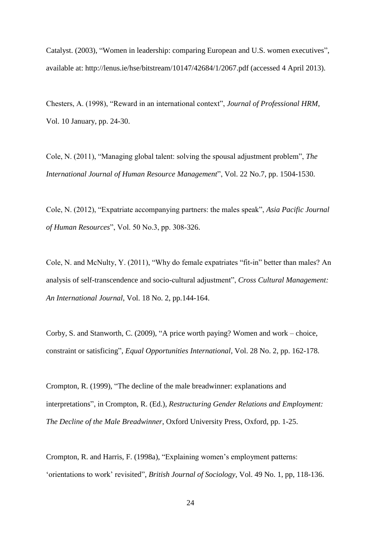Catalyst. (2003), "Women in leadership: comparing European and U.S. women executives", available at: <http://lenus.ie/hse/bitstream/10147/42684/1/2067.pdf> (accessed 4 April 2013).

Chesters, A. (1998), "Reward in an international context", *Journal of Professional HRM*, Vol. 10 January, pp. 24-30.

Cole, N. (2011), "Managing global talent: solving the spousal adjustment problem", *The International Journal of Human Resource Management*", Vol. 22 No.7, pp. 1504-1530.

Cole, N. (2012), "Expatriate accompanying partners: the males speak", *Asia Pacific Journal of Human Resources*", Vol. 50 No.3, pp. 308-326.

Cole, N. and McNulty, Y. (2011), "Why do female expatriates "fit-in" better than males? An analysis of self-transcendence and socio-cultural adjustment", *Cross Cultural Management: An International Journal*, Vol. 18 No. 2, pp.144-164.

Corby, S. and Stanworth, C. (2009), "A price worth paying? Women and work – choice, constraint or satisficing", *Equal Opportunities International*, Vol. 28 No. 2, pp. 162-178.

Crompton, R. (1999), "The decline of the male breadwinner: explanations and interpretations", in Crompton, R. (Ed.), *Restructuring Gender Relations and Employment: The Decline of the Male Breadwinner*, Oxford University Press, Oxford, pp. 1-25.

Crompton, R. and Harris, F. (1998a), "Explaining women's employment patterns: 'orientations to work' revisited", *British Journal of Sociology*, Vol. 49 No. 1, pp, 118-136.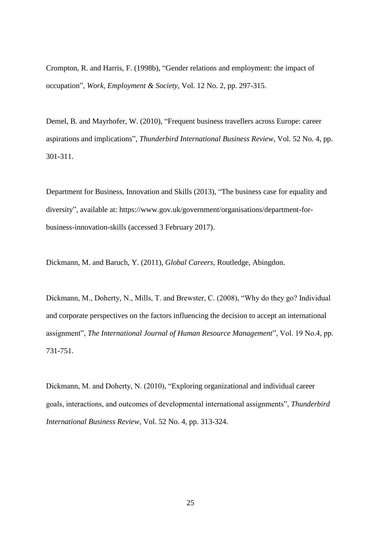Crompton, R. and Harris, F. (1998b), "Gender relations and employment: the impact of occupation", *Work, Employment & Society*, Vol. 12 No. 2, pp. 297-315.

Demel, B. and Mayrhofer, W. (2010), "Frequent business travellers across Europe: career aspirations and implications", *Thunderbird International Business Review*, Vol. 52 No. 4, pp. 301-311.

Department for Business, Innovation and Skills (2013), "The business case for equality and diversity", available at: [https://www.gov.uk/government/organisations/department-for](https://www.gov.uk/government/organisations/department-for-business-innovation-skills)[business-innovation-skills](https://www.gov.uk/government/organisations/department-for-business-innovation-skills) (accessed 3 February 2017).

Dickmann, M. and Baruch, Y. (2011), *Global Careers*, Routledge, Abingdon.

Dickmann, M., Doherty, N., Mills, T. and Brewster, C. (2008), "Why do they go? Individual and corporate perspectives on the factors influencing the decision to accept an international assignment", *The International Journal of Human Resource Management*", Vol. 19 No.4, pp. 731-751.

Dickmann, M. and Doherty, N. (2010), "Exploring organizational and individual career goals, interactions, and outcomes of developmental international assignments", *Thunderbird International Business Review*, Vol. 52 No. 4, pp. 313-324.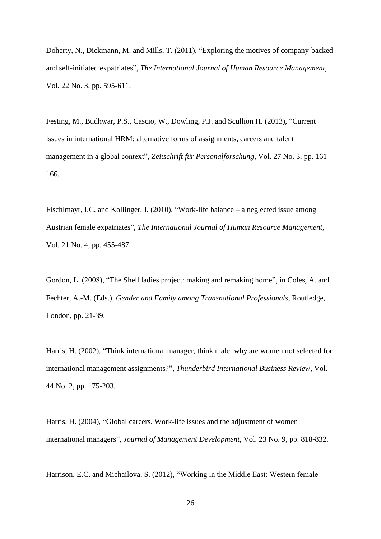Doherty, N., Dickmann, M. and Mills, T. (2011), "Exploring the motives of company-backed and self-initiated expatriates", *The International Journal of Human Resource Management*, Vol. 22 No. 3, pp. 595-611.

Festing, M., Budhwar, P.S., Cascio, W., Dowling, P.J. and Scullion H. (2013), "Current issues in international HRM: alternative forms of assignments, careers and talent management in a global context", *Zeitschrift für Personalforschung*, Vol. 27 No. 3, pp. 161- 166.

Fischlmayr, I.C. and Kollinger, I. (2010), "Work-life balance – a neglected issue among Austrian female expatriates", *The International Journal of Human Resource Management*, Vol. 21 No. 4, pp. 455-487.

Gordon, L. (2008), "The Shell ladies project: making and remaking home", in Coles, A. and Fechter, A.-M. (Eds.), *Gender and Family among Transnational Professionals*, Routledge, London, pp. 21-39.

Harris, H. (2002), "Think international manager, think male: why are women not selected for international management assignments?", *Thunderbird International Business Review*, Vol. 44 No. 2, pp. 175-203.

Harris, H. (2004), "Global careers. Work-life issues and the adjustment of women international managers", *Journal of Management Development*, Vol. 23 No. 9, pp. 818-832.

Harrison, E.C. and Michailova, S. (2012), "Working in the Middle East: Western female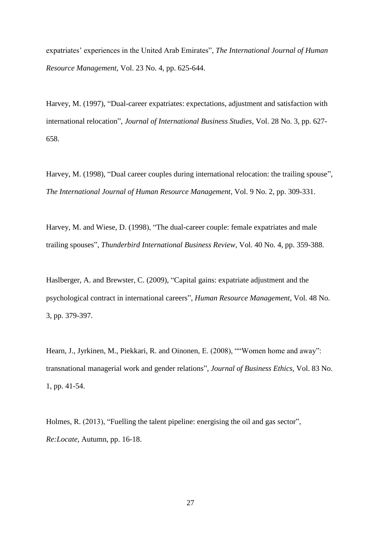expatriates' experiences in the United Arab Emirates", *The International Journal of Human Resource Management*, Vol. 23 No. 4, pp. 625-644.

Harvey, M. (1997), "Dual-career expatriates: expectations, adjustment and satisfaction with international relocation", *Journal of International Business Studies*, Vol. 28 No. 3, pp. 627- 658.

Harvey, M. (1998), "Dual career couples during international relocation: the trailing spouse", *The International Journal of Human Resource Management*, Vol. 9 No. 2, pp. 309-331.

Harvey, M. and Wiese, D. (1998), "The dual-career couple: female expatriates and male trailing spouses", *Thunderbird International Business Review*, Vol. 40 No. 4, pp. 359-388.

Haslberger, A. and Brewster, C. (2009), "Capital gains: expatriate adjustment and the psychological contract in international careers", *Human Resource Management*, Vol. 48 No. 3, pp. 379-397.

Hearn, J., Jyrkinen, M., Piekkari, R. and Oinonen, E. (2008), ""Women home and away": transnational managerial work and gender relations", *Journal of Business Ethics*, Vol. 83 No. 1, pp. 41-54.

Holmes, R. (2013), "Fuelling the talent pipeline: energising the oil and gas sector", *Re:Locate*, Autumn, pp. 16-18.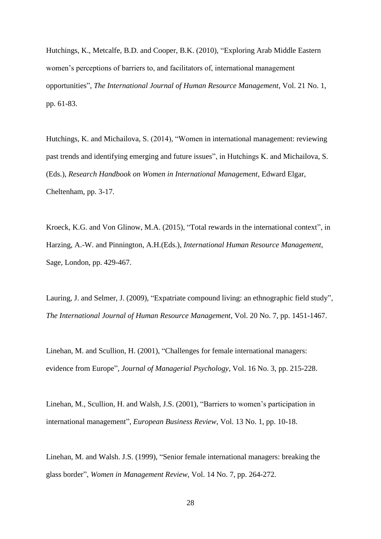Hutchings, K., Metcalfe, B.D. and Cooper, B.K. (2010), "Exploring Arab Middle Eastern women's perceptions of barriers to, and facilitators of, international management opportunities", *The International Journal of Human Resource Management*, Vol. 21 No. 1, pp. 61-83.

Hutchings, K. and Michailova, S. (2014), "Women in international management: reviewing past trends and identifying emerging and future issues", in Hutchings K. and Michailova, S. (Eds.), *Research Handbook on Women in International Management*, Edward Elgar, Cheltenham, pp. 3-17.

Kroeck, K.G. and Von Glinow, M.A. (2015), "Total rewards in the international context", in Harzing, A.-W. and Pinnington, A.H.(Eds.), *International Human Resource Management*, Sage, London, pp. 429-467.

Lauring, J. and Selmer, J. (2009), "Expatriate compound living: an ethnographic field study", *The International Journal of Human Resource Management*, Vol. 20 No. 7, pp. 1451-1467.

Linehan, M. and Scullion, H. (2001), "Challenges for female international managers: evidence from Europe", *Journal of Managerial Psychology*, Vol. 16 No. 3, pp. 215-228.

Linehan, M., Scullion, H. and Walsh, J.S. (2001), "Barriers to women's participation in international management", *European Business Review*, Vol. 13 No. 1, pp. 10-18.

Linehan, M. and Walsh. J.S. (1999), "Senior female international managers: breaking the glass border", *Women in Management Review*, Vol. 14 No. 7, pp. 264-272.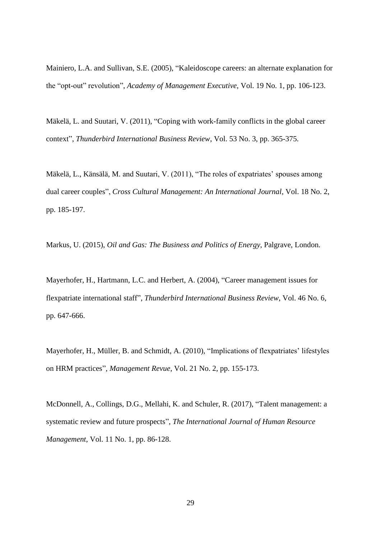Mainiero, L.A. and Sullivan, S.E. (2005), "Kaleidoscope careers: an alternate explanation for the "opt-out" revolution", *Academy of Management Executive*, Vol. 19 No. 1, pp. 106-123.

Mäkelä, L. and Suutari, V. (2011), "Coping with work-family conflicts in the global career context", *Thunderbird International Business Review*, Vol. 53 No. 3, pp. 365-375.

Mäkelä, L., Känsälä, M. and Suutari, V. (2011), "The roles of expatriates' spouses among dual career couples", *Cross Cultural Management: An International Journal*, Vol. 18 No. 2, pp. 185-197.

Markus, U. (2015), *Oil and Gas: The Business and Politics of Energy*, Palgrave, London.

Mayerhofer, H., Hartmann, L.C. and Herbert, A. (2004), "Career management issues for flexpatriate international staff", *Thunderbird International Business Review*, Vol. 46 No. 6, pp. 647-666.

Mayerhofer, H., Müller, B. and Schmidt, A. (2010), "Implications of flexpatriates' lifestyles on HRM practices", *Management Revue*, Vol. 21 No. 2, pp. 155-173.

McDonnell, A., Collings, D.G., Mellahi, K. and Schuler, R. (2017), "Talent management: a systematic review and future prospects", *The International Journal of Human Resource Management*, Vol. 11 No. 1, pp. 86-128.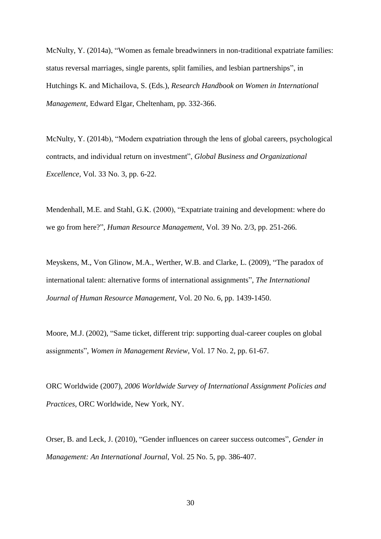McNulty, Y. (2014a), "Women as female breadwinners in non-traditional expatriate families: status reversal marriages, single parents, split families, and lesbian partnerships", in Hutchings K. and Michailova, S. (Eds.), *Research Handbook on Women in International Management*, Edward Elgar, Cheltenham, pp. 332-366.

McNulty, Y. (2014b), "Modern expatriation through the lens of global careers, psychological contracts, and individual return on investment", *Global Business and Organizational Excellence*, Vol. 33 No. 3, pp. 6-22.

Mendenhall, M.E. and Stahl, G.K. (2000), "Expatriate training and development: where do we go from here?", *Human Resource Management*, Vol. 39 No. 2/3, pp. 251-266.

Meyskens, M., Von Glinow, M.A., Werther, W.B. and Clarke, L. (2009), "The paradox of international talent: alternative forms of international assignments", *The International Journal of Human Resource Management*, Vol. 20 No. 6, pp. 1439-1450.

Moore, M.J. (2002), "Same ticket, different trip: supporting dual-career couples on global assignments", *Women in Management Review*, Vol. 17 No. 2, pp. 61-67.

ORC Worldwide (2007), *2006 Worldwide Survey of International Assignment Policies and Practices*, ORC Worldwide, New York, NY.

Orser, B. and Leck, J. (2010), "Gender influences on career success outcomes", *Gender in Management: An International Journal*, Vol. 25 No. 5, pp. 386-407.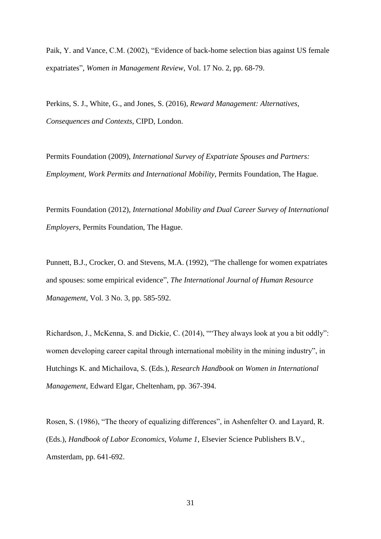Paik, Y. and Vance, C.M. (2002), "Evidence of back-home selection bias against US female expatriates", *Women in Management Review*, Vol. 17 No. 2, pp. 68-79.

Perkins, S. J., White, G., and Jones, S. (2016), *Reward Management: Alternatives, Consequences and Contexts*, CIPD, London.

Permits Foundation (2009), *International Survey of Expatriate Spouses and Partners: Employment, Work Permits and International Mobility*, Permits Foundation, The Hague.

Permits Foundation (2012), *International Mobility and Dual Career Survey of International Employers*, Permits Foundation, The Hague.

Punnett, B.J., Crocker, O. and Stevens, M.A. (1992), "The challenge for women expatriates and spouses: some empirical evidence", *The International Journal of Human Resource Management*, Vol. 3 No. 3, pp. 585-592.

Richardson, J., McKenna, S. and Dickie, C. (2014), ""They always look at you a bit oddly": women developing career capital through international mobility in the mining industry", in Hutchings K. and Michailova, S. (Eds.), *Research Handbook on Women in International Management*, Edward Elgar, Cheltenham, pp. 367-394.

Rosen, S. (1986), "The theory of equalizing differences", in Ashenfelter O. and Layard, R. (Eds.), *Handbook of Labor Economics, Volume 1*, Elsevier Science Publishers B.V., Amsterdam, pp. 641-692.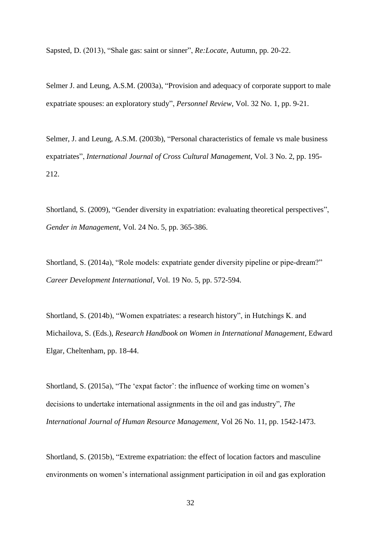Sapsted, D. (2013), "Shale gas: saint or sinner", *Re:Locate*, Autumn, pp. 20-22.

Selmer J. and Leung, A.S.M. (2003a), "Provision and adequacy of corporate support to male expatriate spouses: an exploratory study", *Personnel Review*, Vol. 32 No. 1, pp. 9-21.

Selmer, J. and Leung, A.S.M. (2003b), "Personal characteristics of female vs male business expatriates", *International Journal of Cross Cultural Management*, Vol. 3 No. 2, pp. 195- 212.

Shortland, S. (2009), "Gender diversity in expatriation: evaluating theoretical perspectives", *Gender in Management*, Vol. 24 No. 5, pp. 365-386.

Shortland, S. (2014a), "Role models: expatriate gender diversity pipeline or pipe-dream?" *Career Development International*, Vol. 19 No. 5, pp. 572-594.

Shortland, S. (2014b), "Women expatriates: a research history", in Hutchings K. and Michailova, S. (Eds.), *Research Handbook on Women in International Management*, Edward Elgar, Cheltenham, pp. 18-44.

Shortland, S. (2015a), "The 'expat factor': the influence of working time on women's decisions to undertake international assignments in the oil and gas industry", *The International Journal of Human Resource Management*, Vol 26 No. 11, pp. 1542-1473.

Shortland, S. (2015b), "Extreme expatriation: the effect of location factors and masculine environments on women's international assignment participation in oil and gas exploration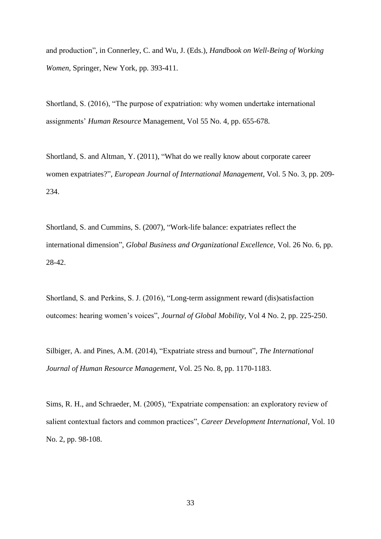and production", in Connerley, C. and Wu, J. (Eds.), *Handbook on Well-Being of Working Women*, Springer, New York, pp. 393-411.

Shortland, S. (2016), "The purpose of expatriation: why women undertake international assignments' *Human Resource* Management, Vol 55 No. 4, pp. 655-678.

Shortland, S. and Altman, Y. (2011), "What do we really know about corporate career women expatriates?", *European Journal of International Management*, Vol. 5 No. 3, pp. 209- 234.

Shortland, S. and Cummins, S. (2007), "Work-life balance: expatriates reflect the international dimension", *Global Business and Organizational Excellence*, Vol. 26 No. 6, pp. 28-42.

Shortland, S. and Perkins, S. J. (2016), "Long-term assignment reward (dis)satisfaction outcomes: hearing women's voices", *Journal of Global Mobility*, Vol 4 No. 2, pp. 225-250.

Silbiger, A. and Pines, A.M. (2014), "Expatriate stress and burnout", *The International Journal of Human Resource Management*, Vol. 25 No. 8, pp. 1170-1183.

Sims, R. H., and Schraeder, M. (2005), "Expatriate compensation: an exploratory review of salient contextual factors and common practices", *Career Development International*, Vol. 10 No. 2, pp. 98-108.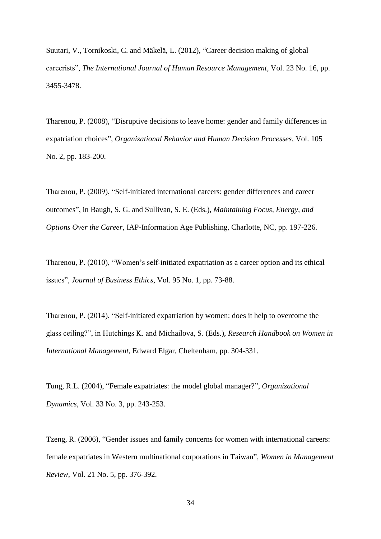Suutari, V., Tornikoski, C. and Mäkelä, L. (2012), "Career decision making of global careerists", *The International Journal of Human Resource Management*, Vol. 23 No. 16, pp. 3455-3478.

Tharenou, P. (2008), "Disruptive decisions to leave home: gender and family differences in expatriation choices", *Organizational Behavior and Human Decision Processes*, Vol. 105 No. 2, pp. 183-200.

Tharenou, P. (2009), "Self-initiated international careers: gender differences and career outcomes", in Baugh, S. G. and Sullivan, S. E. (Eds.), *Maintaining Focus, Energy, and Options Over the Career,* IAP-Information Age Publishing, Charlotte, NC, pp. 197-226.

Tharenou, P. (2010), "Women's self-initiated expatriation as a career option and its ethical issues", *Journal of Business Ethics*, Vol. 95 No. 1, pp. 73-88.

Tharenou, P. (2014), "Self-initiated expatriation by women: does it help to overcome the glass ceiling?", in Hutchings K. and Michailova, S. (Eds.), *Research Handbook on Women in International Management*, Edward Elgar, Cheltenham, pp. 304-331.

Tung, R.L. (2004), "Female expatriates: the model global manager?", *Organizational Dynamics*, Vol. 33 No. 3, pp. 243-253.

Tzeng, R. (2006), "Gender issues and family concerns for women with international careers: female expatriates in Western multinational corporations in Taiwan", *Women in Management Review*, Vol. 21 No. 5, pp. 376-392.